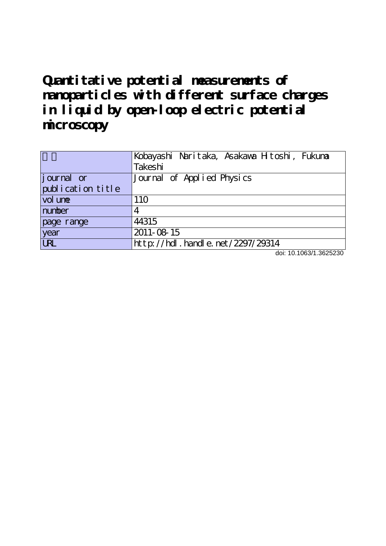**Quantitative potential measurements of nanoparticles with different surface charges in liquid by open-loop electric potential microscopy**

|                   | Kobayashi Naritaka, Asakawa Hitoshi, Fukuma |
|-------------------|---------------------------------------------|
|                   | Takeshi                                     |
| journal or        | Journal of Applied Physics                  |
| publication title |                                             |
| vol une           | 110                                         |
| number            |                                             |
| page range        | 44315                                       |
| year              | 2011-08-15                                  |
| <b>LRL</b>        | http://hdl.handle.net/2297/29314            |

doi: 10.1063/1.3625230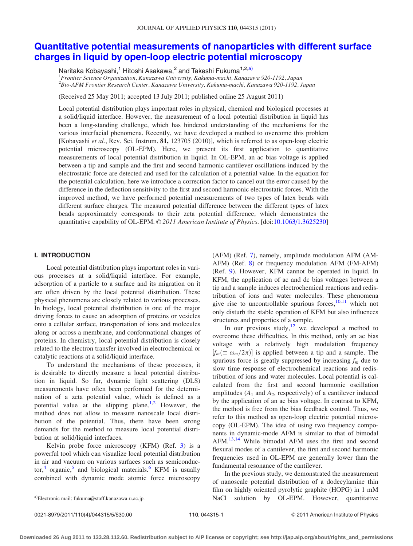# [Quantitative potential measurements of nanoparticles with different surface](http://dx.doi.org/10.1063/1.3625230) [charges in liquid by open-loop electric potential microscopy](http://dx.doi.org/10.1063/1.3625230)

Naritaka Kobayashi,<sup>1</sup> Hitoshi Asakawa,<sup>2</sup> and Takeshi Fukuma<sup>1,2,a)</sup>

1 Frontier Science Organization, Kanazawa University, Kakuma-machi, Kanazawa 920-1192, Japan 2 Bio-AFM Frontier Research Center, Kanazawa University, Kakuma-machi, Kanazawa 920-1192, Japan

(Received 25 May 2011; accepted 13 July 2011; published online 25 August 2011)

Local potential distribution plays important roles in physical, chemical and biological processes at a solid/liquid interface. However, the measurement of a local potential distribution in liquid has been a long-standing challenge, which has hindered understanding of the mechanisms for the various interfacial phenomena. Recently, we have developed a method to overcome this problem [Kobayashi et al., Rev. Sci. Instrum. 81, 123705 (2010)], which is referred to as open-loop electric potential microscopy (OL-EPM). Here, we present its first application to quantitative measurements of local potential distribution in liquid. In OL-EPM, an ac bias voltage is applied between a tip and sample and the first and second harmonic cantilever oscillations induced by the electrostatic force are detected and used for the calculation of a potential value. In the equation for the potential calculation, here we introduce a correction factor to cancel out the error caused by the difference in the deflection sensitivity to the first and second harmonic electrostatic forces. With the improved method, we have performed potential measurements of two types of latex beads with different surface charges. The measured potential difference between the different types of latex beads approximately corresponds to their zeta potential difference, which demonstrates the quantitative capability of OL-EPM. © 2011 American Institute of Physics. [doi:[10.1063/1.3625230](http://dx.doi.org/10.1063/1.3625230)]

## I. INTRODUCTION

Local potential distribution plays important roles in various processes at a solid/liquid interface. For example, adsorption of a particle to a surface and its migration on it are often driven by the local potential distribution. These physical phenomena are closely related to various processes. In biology, local potential distribution is one of the major driving forces to cause an adsorption of proteins or vesicles onto a cellular surface, transportation of ions and molecules along or across a membrane, and conformational changes of proteins. In chemistry, local potential distribution is closely related to the electron transfer involved in electrochemical or catalytic reactions at a solid/liquid interface.

To understand the mechanisms of these processes, it is desirable to directly measure a local potential distribution in liquid. So far, dynamic light scattering (DLS) measurements have often been performed for the determination of a zeta potential value, which is defined as a potential value at the slipping plane.<sup>[1](#page-5-0),[2](#page-5-0)</sup> However, the method does not allow to measure nanoscale local distribution of the potential. Thus, there have been strong demands for the method to measure local potential distribution at solid/liquid interfaces.

Kelvin probe force microscopy (KFM) (Ref. [3\)](#page-5-0) is a powerful tool which can visualize local potential distribution in air and vacuum on various surfaces such as semiconduc-tor,<sup>[4](#page-5-0)</sup> organic,<sup>[5](#page-5-0)</sup> and biological materials.<sup>[6](#page-5-0)</sup> KFM is usually combined with dynamic mode atomic force microscopy (AFM) (Ref. [7](#page-5-0)), namely, amplitude modulation AFM (AM-AFM) (Ref. [8](#page-5-0)) or frequency modulation AFM (FM-AFM) (Ref. [9\)](#page-5-0). However, KFM cannot be operated in liquid. In KFM, the application of ac and dc bias voltages between a tip and a sample induces electrochemical reactions and redistribution of ions and water molecules. These phenomena give rise to uncontrollable spurious forces, $10,11$  which not only disturb the stable operation of KFM but also influences structures and properties of a sample.

In our previous study, $12$  we developed a method to overcome these difficulties. In this method, only an ac bias voltage with a relatively high modulation frequency  $[f_m(\equiv \omega_m/2\pi)]$  is applied between a tip and a sample. The spurious force is greatly suppressed by increasing  $f_m$  due to slow time response of electrochemical reactions and redistribution of ions and water molecules. Local potential is calculated from the first and second harmonic oscillation amplitudes  $(A_1 \text{ and } A_2 \text{, respectively})$  of a cantilever induced by the application of an ac bias voltage. In contrast to KFM, the method is free from the bias feedback control. Thus, we refer to this method as open-loop electric potential microscopy (OL-EPM). The idea of using two frequency components in dynamic-mode AFM is similar to that of bimodal AFM.[13,14](#page-5-0) While bimodal AFM uses the first and second flexural modes of a cantilever, the first and second harmonic frequencies used in OL-EPM are generally lower than the fundamental resonance of the cantilever.

In the previous study, we demonstrated the measurement of nanoscale potential distribution of a dodecylamine thin film on highly oriented pyrolytic graphite (HOPG) in 1 mM NaCl solution by OL-EPM. However, quantitative a)Electronic mail: fukuma@staff.kanazawa-u.ac.jp.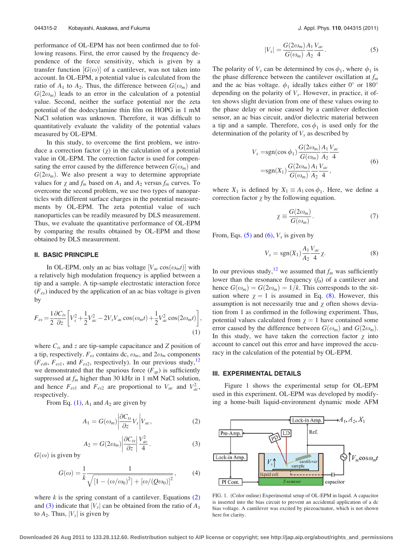<span id="page-2-0"></span>performance of OL-EPM has not been confirmed due to following reasons. First, the error caused by the frequency dependence of the force sensitivity, which is given by a transfer function  $[G(\omega)]$  of a cantilever, was not taken into account. In OL-EPM, a potential value is calculated from the ratio of  $A_1$  to  $A_2$ . Thus, the difference between  $G(\omega_m)$  and  $G(2\omega_m)$  leads to an error in the calculation of a potential value. Second, neither the surface potential nor the zeta potential of the dodecylamine thin film on HOPG in 1 mM NaCl solution was unknown. Therefore, it was difficult to quantitatively evaluate the validity of the potential values measured by OL-EPM.

In this study, to overcome the first problem, we introduce a correction factor  $(\chi)$  in the calculation of a potential value in OL-EPM. The correction factor is used for compensating the error caused by the difference between  $G(\omega_m)$  and  $G(2\omega_m)$ . We also present a way to determine appropriate values for  $\chi$  and  $f_m$  based on  $A_1$  and  $A_2$  versus  $f_m$  curves. To overcome the second problem, we use two types of nanoparticles with different surface charges in the potential measurements by OL-EPM. The zeta potential value of such nanoparticles can be readily measured by DLS measurement. Thus, we evaluate the quantitative performance of OL-EPM by comparing the results obtained by OL-EPM and those obtained by DLS measurement.

## II. BASIC PRINCIPLE

In OL-EPM, only an ac bias voltage  $[V_{ac} \cos(\omega_m t)]$  with a relatively high modulation frequency is applied between a tip and a sample. A tip-sample electrostatic interaction force  $(F_{es})$  induced by the application of an ac bias voltage is given by

$$
F_{es} = \frac{1}{2} \frac{\partial C_{ts}}{\partial z} \left[ V_s^2 + \frac{1}{2} V_{ac}^2 - 2V_s V_{ac} \cos(\omega_m t) + \frac{1}{2} V_{ac}^2 \cos(2\omega_m t) \right],
$$
\n(1)

where  $C_{ts}$  and z are tip-sample capacitance and Z position of a tip, respectively.  $F_{es}$  contains dc,  $\omega_m$ , and  $2\omega_m$  components  $(F<sub>es0</sub>, F<sub>es1</sub>,$  and  $F<sub>es2</sub>$ , respectively). In our previous study,<sup>12</sup> we demonstrated that the spurious force  $(F_{sp})$  is sufficiently suppressed at  $f_m$  higher than 30 kHz in 1 mM NaCl solution, and hence  $F_{est}$  and  $F_{es2}$  are proportional to  $V_{ac}$  and  $V_{ac}^2$ , respectively.

From Eq. (1),  $A_1$  and  $A_2$  are given by

$$
A_1 = G(\omega_m) \left| \frac{\partial C_{\iota s}}{\partial z} V_s \right| V_{ac}, \tag{2}
$$

$$
A_2 = G(2\omega_m) \left| \frac{\partial C_{ts}}{\partial z} \right| \frac{V_{ac}^2}{4}.
$$
 (3)

 $G(\omega)$  is given by

$$
G(\omega) = \frac{1}{k} \frac{1}{\sqrt{[1 - (\omega/\omega_0)^2] + [\omega/(Q\omega_0)]^2}},
$$
(4)

where  $k$  is the spring constant of a cantilever. Equations  $(2)$ and (3) indicate that  $|V_s|$  can be obtained from the ratio of  $A_1$ to  $A_2$ . Thus,  $|V_s|$  is given by

$$
|V_s| = \frac{G(2\omega_m)}{G(\omega_m)} \frac{A_1}{A_2} \frac{V_{ac}}{4}.
$$
 (5)

The polarity of  $V_s$  can be determined by cos  $\phi_1$ , where  $\phi_1$  is the phase difference between the cantilever oscillation at  $f_m$ and the ac bias voltage.  $\phi_1$  ideally takes either 0° or 180° depending on the polarity of  $V_s$ . However, in practice, it often shows slight deviation from one of these values owing to the phase delay or noise caused by a cantilever deflection sensor, an ac bias circuit, and/or dielectric material between a tip and a sample. Therefore,  $\cos \phi_1$  is used only for the determination of the polarity of  $V_s$  as described by

$$
V_s = sgn(\cos \phi_1) \frac{G(2\omega_m)}{G(\omega_m)} \frac{A_1}{A_2} \frac{V_{ac}}{4}
$$
  
= sgn(X<sub>1</sub>)  $\frac{G(2\omega_m)}{G(\omega_m)} \frac{A_1}{A_2} \frac{V_{ac}}{4}$ , (6)

where  $X_1$  is defined by  $X_1 \equiv A_1 \cos \phi_1$ . Here, we define a correction factor  $\chi$  by the following equation.

$$
\chi \equiv \frac{G(2\omega_m)}{G(\omega_m)}.\tag{7}
$$

From, Eqs.  $(5)$  and  $(6)$ ,  $V_s$  is given by

$$
V_s = \text{sgn}(X_1) \frac{A_1}{A_2} \frac{V_{ac}}{4} \chi.
$$
 (8)

In our previous study,<sup>[12](#page-5-0)</sup> we assumed that  $f_m$  was sufficiently lower than the resonance frequency  $(f_0)$  of a cantilever and hence  $G(\omega_m) = G(2\omega_m) = 1/k$ . This corresponds to the situation where  $\chi = 1$  is assumed in Eq. (8). However, this assumption is not necessarily true and  $\chi$  often shows deviation from 1 as confirmed in the following experiment. Thus, potential values calculated from  $\gamma = 1$  have contained some error caused by the difference between  $G(\omega_m)$  and  $G(2\omega_m)$ . In this study, we have taken the correction factor  $\chi$  into account to cancel out this error and have improved the accuracy in the calculation of the potential by OL-EPM.

### III. EXPERIMENTAL DETAILS

Figure 1 shows the experimental setup for OL-EPM used in this experiment. OL-EPM was developed by modifying a home-built liquid-environment dynamic mode AFM



FIG. 1. (Color online) Experimental setup of OL-EPM in liquid. A capacitor is inserted into the bias circuit to prevent an accidental application of a dc bias voltage. A cantilever was excited by piezoactuator, which is not shown here for clarity.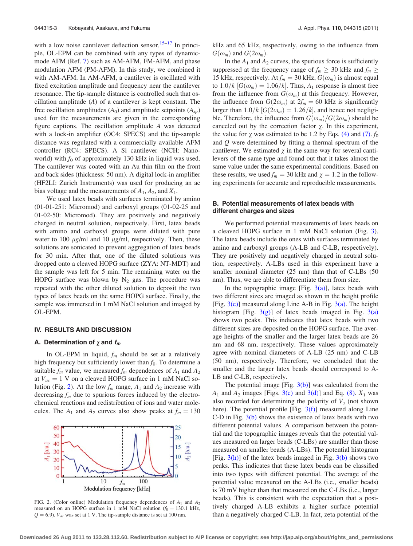with a low noise cantilever deflection sensor.<sup>[15](#page-5-0)–[17](#page-5-0)</sup> In principle, OL-EPM can be combined with any types of dynamicmode AFM (Ref. [7](#page-5-0)) such as AM-AFM, FM-AFM, and phase modulation AFM (PM-AFM). In this study, we combined it with AM-AFM. In AM-AFM, a cantilever is oscillated with fixed excitation amplitude and frequency near the cantilever resonance. The tip-sample distance is controlled such that oscillation amplitude (A) of a cantilever is kept constant. The free oscillation amplitudes  $(A_0)$  and amplitude setpoints  $(A_{sp})$ used for the measurements are given in the corresponding figure captions. The oscillation amplitude A was detected with a lock-in amplifier (OC4: SPECS) and the tip-sample distance was regulated with a commercially available AFM controller (RC4: SPECS). A Si cantilever (NCH: Nanoworld) with  $f_0$  of approximately 130 kHz in liquid was used. The cantilever was coated with an Au thin film on the front and back sides (thickness: 50 nm). A digital lock-in amplifier (HF2LI: Zurich Instruments) was used for producing an ac bias voltage and the measurements of  $A_1$ ,  $A_2$ , and  $X_1$ .

We used latex beads with surfaces terminated by amino (01-01-251: Micromod) and carboxyl groups (01-02-25 and 01-02-50: Micromod). They are positively and negatively charged in neutral solution, respectively. First, latex beads with amino and carboxyl groups were diluted with pure water to 100  $\mu$ g/ml and 10  $\mu$ g/ml, respectively. Then, these solutions are sonicated to prevent aggregation of latex beads for 30 min. After that, one of the diluted solutions was dropped onto a cleaved HOPG surface (ZYA: NT-MDT) and the sample was left for 5 min. The remaining water on the HOPG surface was blown by  $N_2$  gas. The procedure was repeated with the other diluted solution to deposit the two types of latex beads on the same HOPG surface. Finally, the sample was immersed in 1 mM NaCl solution and imaged by OL-EPM.

### IV. RESULTS AND DISCUSSION

## A. Determination of  $\chi$  and  $f_m$

In OL-EPM in liquid,  $f_m$  should be set at a relatively high frequency but sufficiently lower than  $f_0$ . To determine a suitable  $f_m$  value, we measured  $f_m$  dependences of  $A_1$  and  $A_2$ at  $V_{ac} = 1$  V on a cleaved HOPG surface in 1 mM NaCl solution (Fig. 2). At the low  $f_m$  range,  $A_1$  and  $A_2$  increase with decreasing  $f_m$  due to spurious forces induced by the electrochemical reactions and redistribution of ions and water molecules. The  $A_1$  and  $A_2$  curves also show peaks at  $f_m = 130$ 



FIG. 2. (Color online) Modulation frequency dependences of  $A_1$  and  $A_2$ measured on an HOPG surface in 1 mM NaCl solution  $(f_0 = 130.1 \text{ kHz},$  $Q = 6.9$ ).  $V_{ac}$  was set at 1 V. The tip-sample distance is set at 100 nm.

kHz and 65 kHz, respectively, owing to the influence from  $G(\omega_m)$  and  $G(2\omega_m)$ .

In the  $A_1$  and  $A_2$  curves, the spurious force is sufficiently suppressed at the frequency range of  $f_m \geq 30$  kHz and  $f_m \geq$ 15 kHz, respectively. At  $f_m = 30$  kHz,  $G(\omega_m)$  is almost equal to  $1.0/k$   $[G(\omega_m) = 1.06/k]$ . Thus,  $A_1$  response is almost free from the influence from  $G(\omega_m)$  at this frequency. However, the influence from  $G(2\omega_m)$  at  $2f_m = 60$  kHz is significantly larger than  $1.0/k$   $[G(2\omega_m) = 1.26/k]$ , and hence not negligible. Therefore, the influence from  $G(\omega_m)/G(2\omega_m)$  should be canceled out by the correction factor  $\chi$ . In this experiment, the value for  $\chi$  was estimated to be 1.2 by Eqs. [\(4\)](#page-2-0) and [\(7\)](#page-2-0).  $f_0$ and Q were determined by fitting a thermal spectrum of the cantilever. We estimated  $\chi$  in the same way for several cantilevers of the same type and found out that it takes almost the same value under the same experimental conditions. Based on these results, we used  $f_m = 30$  kHz and  $\chi = 1.2$  in the following experiments for accurate and reproducible measurements.

## B. Potential measurements of latex beads with different charges and sizes

We performed potential measurements of latex beads on a cleaved HOPG surface in 1 mM NaCl solution (Fig. [3](#page-4-0)). The latex beads include the ones with surfaces terminated by amino and carboxyl groups (A-LB and C-LB, respectively). They are positively and negatively charged in neutral solution, respectively. A-LBs used in this experiment have a smaller nominal diameter (25 nm) than that of C-LBs (50 nm). Thus, we are able to differentiate them from size.

In the topographic image [Fig.  $3(a)$ ], latex beads with two different sizes are imaged as shown in the height profile [Fig.  $3(e)$ ] measured along Line A-B in Fig.  $3(a)$ . The height histogram [Fig.  $3(g)$ ] of latex beads imaged in Fig.  $3(a)$ shows two peaks. This indicates that latex beads with two different sizes are deposited on the HOPG surface. The average heights of the smaller and the larger latex beads are 26 nm and 68 nm, respectively. These values approximately agree with nominal diameters of A-LB (25 nm) and C-LB (50 nm), respectively. Therefore, we concluded that the smaller and the larger latex beads should correspond to A-LB and C-LB, respectively.

The potential image [Fig.  $3(b)$ ] was calculated from the  $A_1$  and  $A_2$  images [Figs. [3\(c\)](#page-4-0) and [3\(d\)](#page-4-0)] and Eq. [\(8\)](#page-2-0).  $X_1$  was also recorded for determining the polarity of  $V_s$  (not shown here). The potential profile [Fig. [3\(f\)\]](#page-4-0) measured along Line C-D in Fig. [3\(b\)](#page-4-0) shows the existence of latex beads with two different potential values. A comparison between the potential and the topographic images reveals that the potential values measured on larger beads (C-LBs) are smaller than those measured on smaller beads (A-LBs). The potential histogram [Fig.  $3(h)$ ] of the latex beads imaged in Fig.  $3(b)$  shows two peaks. This indicates that these latex beads can be classified into two types with different potential. The average of the potential value measured on the A-LBs (i.e., smaller beads) is 70 mV higher than that measured on the C-LBs (i.e., larger beads). This is consistent with the expectation that a positively charged A-LB exhibits a higher surface potential than a negatively charged C-LB. In fact, zeta potential of the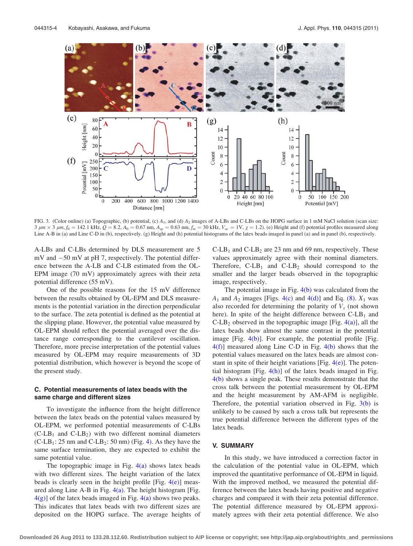<span id="page-4-0"></span>

FIG. 3. (Color online) (a) Topographic, (b) potential, (c)  $A_1$ , and (d)  $A_2$  images of A-LBs and C-LBs on the HOPG surface in 1 mM NaCl solution (scan size:  $3 \mu m \times 3 \mu m$ ,  $f_0 = 142.1 \text{ kHz}$ ,  $Q = 8.2$ ,  $A_0 = 0.67 \text{ nm}$ ,  $A_{sp} = 0.63 \text{ nm}$ ,  $f_m = 30 \text{ kHz}$ ,  $V_{ac} = 1 \text{ V}$ ,  $\chi = 1.2$ ). (e) Height and (f) potential profiles measured along Line A-B in (a) and Line C-D in (b), respectively. (g) Height and (h) potential histograms of the latex beads imaged in panel (a) and in panel (b), respectively.

A-LBs and C-LBs determined by DLS measurement are 5  $mV$  and  $-50$  mV at pH 7, respectively. The potential difference between the A-LB and C-LB estimated from the OL-EPM image (70 mV) approximately agrees with their zeta potential difference (55 mV).

One of the possible reasons for the 15 mV difference between the results obtained by OL-EPM and DLS measurements is the potential variation in the direction perpendicular to the surface. The zeta potential is defined as the potential at the slipping plane. However, the potential value measured by OL-EPM should reflect the potential averaged over the distance range corresponding to the cantilever oscillation. Therefore, more precise interpretation of the potential values measured by OL-EPM may require measurements of 3D potential distribution, which however is beyond the scope of the present study.

# C. Potential measurements of latex beads with the same charge and different sizes

To investigate the influence from the height difference between the latex beads on the potential values measured by OL-EPM, we performed potential measurements of C-LBs  $(C-LB<sub>1</sub>$  and  $C-LB<sub>2</sub>)$  with two different nominal diameters  $(C-LB_1: 25 \text{ nm}$  and  $C-LB_2: 50 \text{ nm}$ ) (Fig. [4](#page-5-0)). As they have the same surface termination, they are expected to exhibit the same potential value.

The topographic image in Fig.  $4(a)$  shows latex beads with two different sizes. The height variation of the latex beads is clearly seen in the height profile [Fig.  $4(e)$ ] measured along Line A-B in Fig.  $4(a)$ . The height histogram [Fig.  $4(g)$ ] of the latex beads imaged in Fig.  $4(a)$  shows two peaks. This indicates that latex beads with two different sizes are deposited on the HOPG surface. The average heights of  $C-LB_1$  and  $C-LB_2$  are 23 nm and 69 nm, respectively. These values approximately agree with their nominal diameters. Therefore,  $C-LB_1$  and  $C-LB_2$  should correspond to the smaller and the larger beads observed in the topographic image, respectively.

The potential image in Fig.  $4(b)$  was calculated from the  $A_1$  and  $A_2$  images [Figs. [4\(c\)](#page-5-0) and [4\(d\)](#page-5-0)] and Eq. [\(8\)](#page-2-0).  $X_1$  was also recorded for determining the polarity of  $V_s$  (not shown here). In spite of the height difference between  $C-LB_1$  and  $C-LB_2$  observed in the topographic image [Fig. [4\(a\)\]](#page-5-0), all the latex beads show almost the same contrast in the potential image  $[Fig. 4(b)]$  $[Fig. 4(b)]$ . For example, the potential profile  $[Fig. 4(b)]$ . [4\(f\)](#page-5-0)] measured along Line C-D in Fig. [4\(b\)](#page-5-0) shows that the potential values measured on the latex beads are almost constant in spite of their height variations [Fig.  $4(e)$ ]. The potential histogram [Fig.  $4(h)$ ] of the latex beads imaged in Fig. [4\(b\)](#page-5-0) shows a single peak. These results demonstrate that the cross talk between the potential measurement by OL-EPM and the height measurement by AM-AFM is negligible. Therefore, the potential variation observed in Fig.  $3(b)$  is unlikely to be caused by such a cross talk but represents the true potential difference between the different types of the latex beads.

## V. SUMMARY

In this study, we have introduced a correction factor in the calculation of the potential value in OL-EPM, which improved the quantitative performance of OL-EPM in liquid. With the improved method, we measured the potential difference between the latex beads having positive and negative charges and compared it with their zeta potential difference. The potential difference measured by OL-EPM approximately agrees with their zeta potential difference. We also